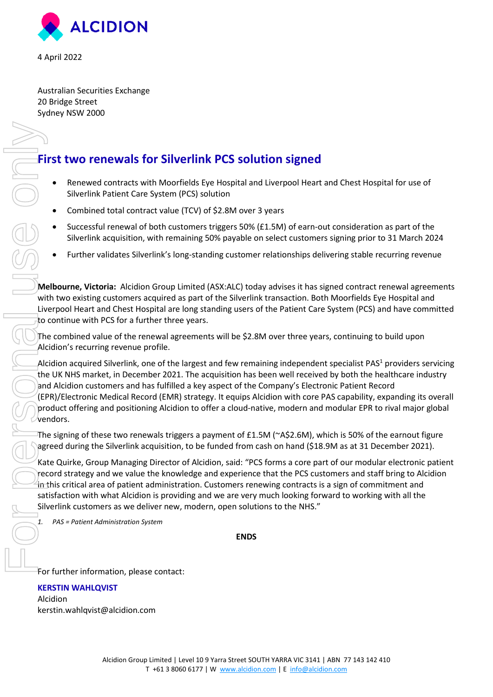

4 April 2022

Australian Securities Exchange 20 Bridge Street Sydney NSW 2000

## **First two renewals for Silverlink PCS solution signed**

- Renewed contracts with Moorfields Eye Hospital and Liverpool Heart and Chest Hospital for use of Silverlink Patient Care System (PCS) solution
- Combined total contract value (TCV) of \$2.8M over 3 years
- Successful renewal of both customers triggers 50% (£1.5M) of earn-out consideration as part of the Silverlink acquisition, with remaining 50% payable on select customers signing prior to 31 March 2024
- Further validates Silverlink's long-standing customer relationships delivering stable recurring revenue

**Melbourne, Victoria:** Alcidion Group Limited (ASX:ALC) today advises it has signed contract renewal agreements with two existing customers acquired as part of the Silverlink transaction. Both Moorfields Eye Hospital and Liverpool Heart and Chest Hospital are long standing users of the Patient Care System (PCS) and have committed to continue with PCS for a further three years.

The combined value of the renewal agreements will be \$2.8M over three years, continuing to build upon Alcidion's recurring revenue profile.

Alcidion acquired Silverlink, one of the largest and few remaining independent specialist PAS<sup>1</sup> providers servicing the UK NHS market, in December 2021. The acquisition has been well received by both the healthcare industry and Alcidion customers and has fulfilled a key aspect of the Company's Electronic Patient Record (EPR)/Electronic Medical Record (EMR) strategy. It equips Alcidion with core PAS capability, expanding its overall product offering and positioning Alcidion to offer a cloud-native, modern and modular EPR to rival major global vendors.

The signing of these two renewals triggers a payment of £1.5M (~A\$2.6M), which is 50% of the earnout figure agreed during the Silverlink acquisition, to be funded from cash on hand (\$18.9M as at 31 December 2021).

Kate Quirke, Group Managing Director of Alcidion, said: "PCS forms a core part of our modular electronic patient record strategy and we value the knowledge and experience that the PCS customers and staff bring to Alcidion in this critical area of patient administration. Customers renewing contracts is a sign of commitment and satisfaction with what Alcidion is providing and we are very much looking forward to working with all the Silverlink customers as we deliver new, modern, open solutions to the NHS."

*1. PAS = Patient Administration System* 

**ENDS** 

For further information, please contact:

## **KERSTIN WAHLQVIST**

Alcidion